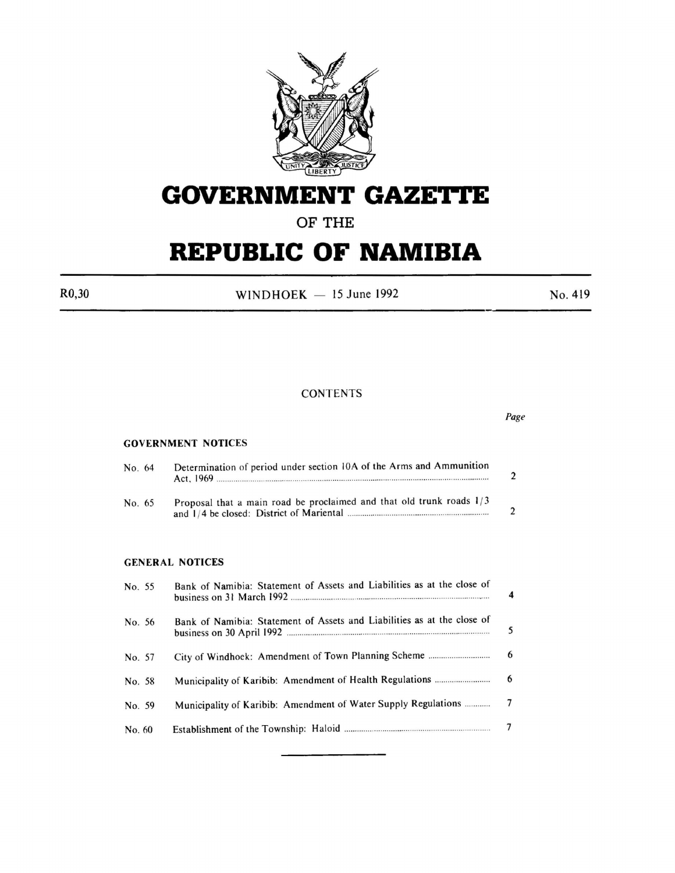

# **GOVERNMENT GAZETTE**

## **OF THE**

# **REPUBLIC OF NAMIBIA**

 $R0,30$  WINDHOEK - 15 June 1992 No. 419

#### **CONTENTS**

|        |                                                                         | Page                                                |
|--------|-------------------------------------------------------------------------|-----------------------------------------------------|
|        |                                                                         |                                                     |
| No. 64 | Determination of period under section 10A of the Arms and Ammunition    | $\overline{2}$                                      |
| No. 65 | Proposal that a main road be proclaimed and that old trunk roads 1/3    | $\overline{2}$                                      |
|        |                                                                         |                                                     |
| No. 55 | Bank of Namibia: Statement of Assets and Liabilities as at the close of | 4                                                   |
| No. 56 | Bank of Namibia: Statement of Assets and Liabilities as at the close of | 5                                                   |
| No. 57 |                                                                         | 6                                                   |
| No. 58 |                                                                         | 6                                                   |
| No. 59 | Municipality of Karibib: Amendment of Water Supply Regulations          | 7                                                   |
| No. 60 |                                                                         | 7                                                   |
|        |                                                                         | <b>GOVERNMENT NOTICES</b><br><b>GENERAL NOTICES</b> |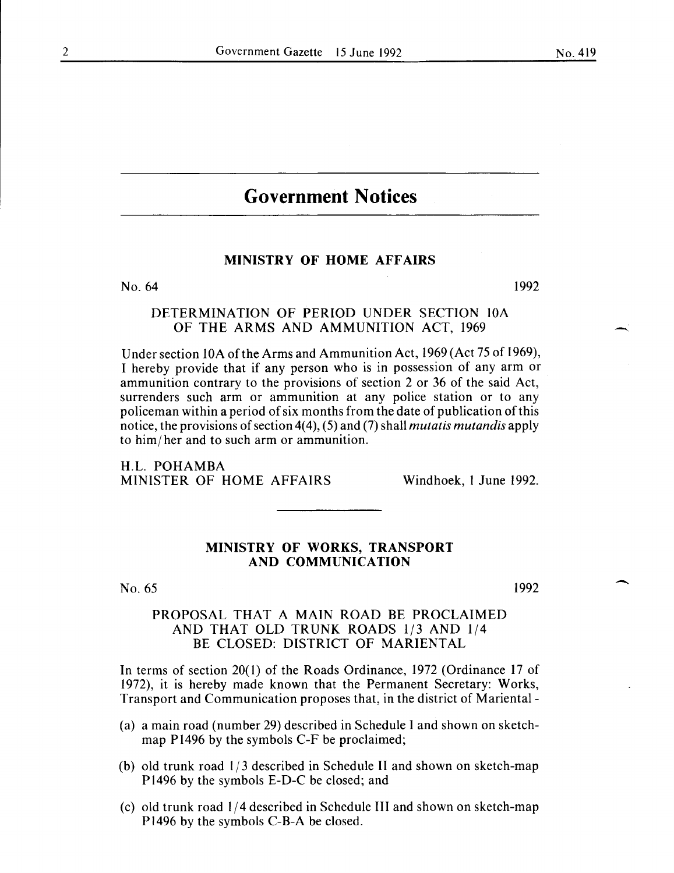## **Government Notices**

#### MINISTRY OF HOME AFFAIRS

No. 64 1992

#### DETERMINATION OF PERIOD UNDER SECTION lOA OF THE ARMS AND AMMUNITION ACT, 1969

Under section 10A of the Arms and Ammunition Act, 1969 (Act 75 of 1969), I hereby provide that if any person who is in possession of any arm or ammunition contrary to the provisions of section 2 or 36 of the said Act, surrenders such arm or ammunition at any police station or to any policeman within a period of six months from the date of publication of this notice, the provisions of section 4( 4), ( 5) and (7) shall *mutatis mutandis* apply to him/ her and to such arm or ammunition.

H.L. POHAMBA MINISTER OF HOME AFFAIRS Windhoek, I June 1992.

#### MINISTRY OF WORKS, TRANSPORT AND COMMUNICATION

No. 65

1992

#### PROPOSAL THAT A MAIN ROAD BE PROCLAIMED AND THAT OLD TRUNK ROADS 1/3 AND 1/4 BE CLOSED: DISTRICT OF MARIENTAL

In terms of section 20(1) of the Roads Ordinance, 1972 (Ordinance 17 of 1972), it is hereby made known that the Permanent Secretary: Works, Transport and Communication proposes that, in the district of Mariental-

- (a) a main road (number 29) described in Schedule I and shown on sketchmap Pl496 by the symbols C-F be proclaimed;
- (b) old trunk road l/3 described in Schedule II and shown on sketch-map P1496 by the symbols E-D-C be closed; and
- (c) old trunk road l/4 described in Schedule III and shown on sketch-map Pl496 by the symbols C-B-A be closed.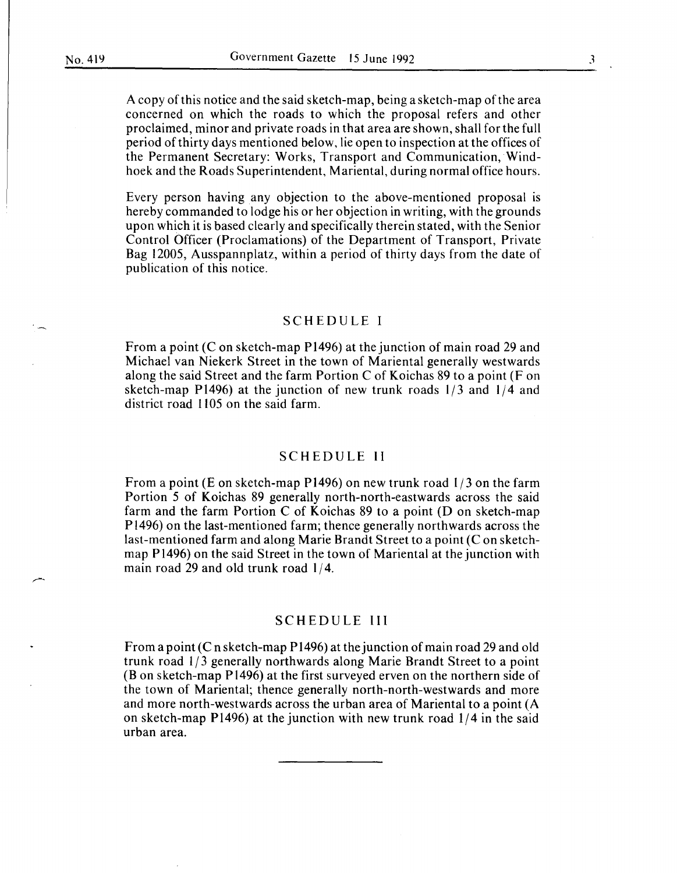A copy of this notice and the said sketch-map, being a sketch-map of the area concerned on which the roads to which the proposal refers and other proclaimed, minor and private roads in that area are shown, shall for the full period of thirty days mentioned below, lie open to inspection at the offices of the Permanent Secretary: Works, Transport and Communication, Windhoek and the Roads Superintendent, Mariental, during normal office hours.

Every person having any objection to the above-mentioned proposal is hereby commanded to lodge his or her objection in writing, with the grounds upon which it is based clearly and specifically therein stated, with the Senior Control Officer (Proclamations) of the Department of Transport, Private Bag 12005, Ausspannplatz, within a period of thirty days from the date of publication of this notice.

#### SCHEDULE I

From a point (C on sketch-map P1496) at the junction of main road 29 and Michael van Niekerk Street in the town of Mariental generally westwards along the said Street and the farm Portion C of Koichas 89 to a point (F on sketch-map Pl496) at the junction of new trunk roads l/3 and l/4 and district road 1105 on the said farm.

#### SCHEDULE II

From a point (E on sketch-map P1496) on new trunk road  $1/3$  on the farm Portion 5 of Koichas 89 generally north-north-eastwards across the said farm and the farm Portion C of Koichas 89 to a point (D on sketch-map Pl496) on the last-mentioned farm; thence generally northwards across the last-mentioned farm and along Marie Brandt Street to a point (C on sketchmap P1496) on the said Street in the town of Mariental at the junction with main road 29 and old trunk road **1/4.** 

#### SCHEDULE III

From a point (C nsketch-map Pl496) at the junction of main road 29 and old trunk road 1/3 generally northwards along Marie Brandt Street to a point (Bon sketch-map Pl496) at the first surveyed erven on the northern side of the town of Mariental; thence generally north-north-westwards and more and more north-westwards across the urban area of Mariental to a point (A on sketch-map P1496) at the junction with new trunk road **1/4** in the said urban area.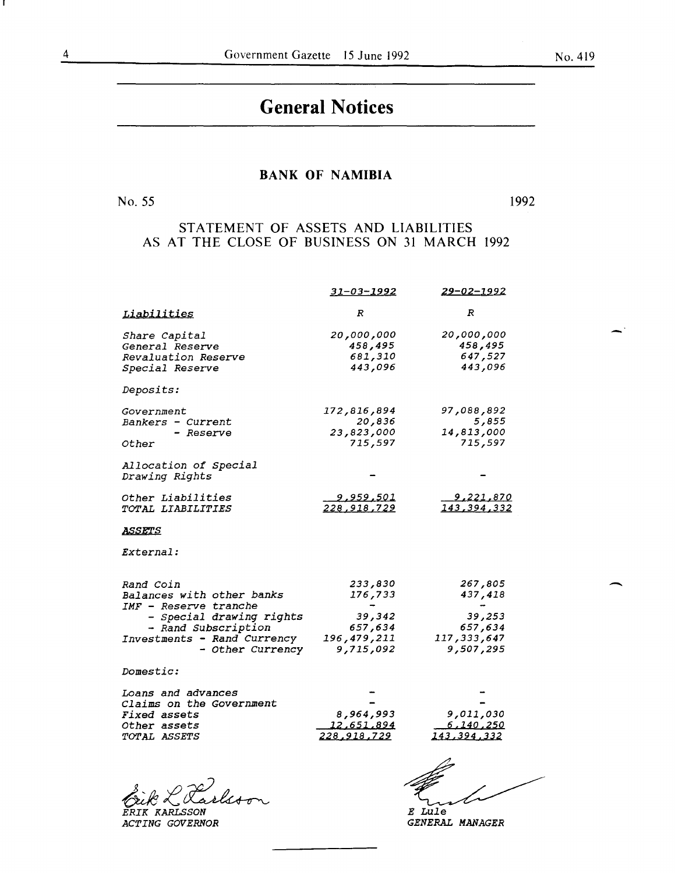# **General Notices**

#### **BANK OF NAMIBIA**

No. 55

*ACTING GOVERNOR* 

1992

### STATEMENT OF ASSETS AND LIABILITIES AS AT THE CLOSE OF BUSINESS ON 31 MARCH 1992

|                                                                                                                                                                       | 31-03-1992                                                          | <u>29-02-1992</u>                                                     |  |
|-----------------------------------------------------------------------------------------------------------------------------------------------------------------------|---------------------------------------------------------------------|-----------------------------------------------------------------------|--|
| Liabilities                                                                                                                                                           | R                                                                   | $\boldsymbol{R}$                                                      |  |
| Share Capital<br>General Reserve<br>Revaluation Reserve<br>Special Reserve                                                                                            | 20,000,000<br>458,495<br>681,310<br>443,096                         | 20,000,000<br>458,495<br>647,527<br>443,096                           |  |
| Deposits:                                                                                                                                                             |                                                                     |                                                                       |  |
| Government<br>Bankers - Current<br>– Reserve<br>Other                                                                                                                 | 172,816,894<br>20,836<br>23,823,000<br>715,597                      | 97,088,892<br>5,855<br>14,813,000<br>715,597                          |  |
| Allocation of Special<br>Drawing Rights                                                                                                                               |                                                                     |                                                                       |  |
| Other Liabilities<br>TOTAL LIABILITIES                                                                                                                                | 9,959,501<br><u>228,918,729</u>                                     | 9,221,870<br>143,394,332                                              |  |
| ASSETS                                                                                                                                                                |                                                                     |                                                                       |  |
| <i>External:</i>                                                                                                                                                      |                                                                     |                                                                       |  |
| Rand Coin<br>Balances with other banks<br>IMF - Reserve tranche<br>- Special drawing rights<br>- Rand Subscription<br>Investments - Rand Currency<br>- Other Currency | 233,830<br>176,733<br>39,342<br>657,634<br>196,479,211<br>9,715,092 | 267,805<br>437,418<br>39,253<br>657,634<br>117, 333, 647<br>9,507,295 |  |
| Domestic:                                                                                                                                                             |                                                                     |                                                                       |  |
| Loans and advances<br>Claims on the Government<br>Fixed assets<br>Other assets<br>TOTAL ASSETS                                                                        | 8,964,993<br><u>12,651,894</u><br><u>228,918,729</u>                | 9,011,030<br><u>6,140,250</u><br>143,394,332                          |  |
|                                                                                                                                                                       |                                                                     | E Lule                                                                |  |

*GENERAL MANAGER* 

 $\overline{\phantom{a}}$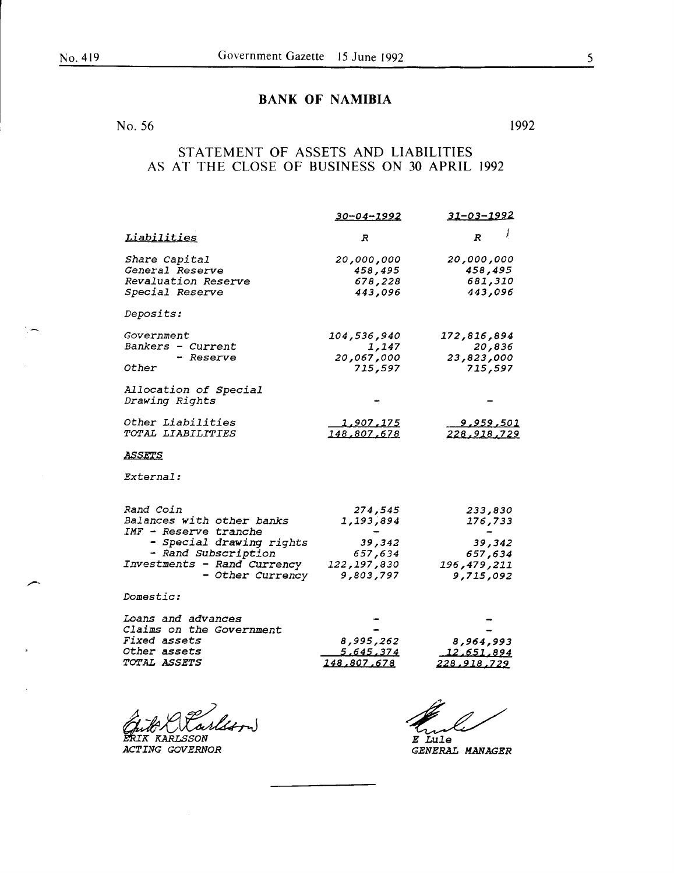### BANK OF NAMIBIA

No. 56 1992

### STATEMENT OF ASSETS AND LIABILITIES AS AT THE CLOSE OF BUSINESS ON 30 APRIL 1992

|                                         | <u>30-04-1992</u>  | <u>31-03-1992</u>      |  |
|-----------------------------------------|--------------------|------------------------|--|
| Liabilities                             | R                  | $\overline{R}$         |  |
| Share Capital                           | 20,000,000         | 20,000,000             |  |
| General Reserve                         | 458,495            | 458,495                |  |
| Revaluation Reserve                     | 678,228            | 681,310                |  |
| Special Reserve                         | 443,096            | 443,096                |  |
| Deposits:                               |                    |                        |  |
| Government                              | 104,536,940        | 172,816,894            |  |
| Bankers - Current                       | 1,147              | 20,836                 |  |
| - Reserve                               | 20,067,000         | 23,823,000             |  |
| Other                                   | 715,597            | 715,597                |  |
| Allocation of Special<br>Drawing Rights |                    |                        |  |
| Other Liabilities                       | <u>1,907,175</u>   | <u>9,959,501</u>       |  |
| TOTAL LIABILITIES                       | <u>148,807,678</u> | 228,918,729            |  |
| <u>ASSETS</u>                           |                    |                        |  |
| External:                               |                    |                        |  |
| Rand Coin                               | 274,545            |                        |  |
| Balances with other banks               | 1,193,894          | 233,830<br>176,733     |  |
| IMF - Reserve tranche                   |                    |                        |  |
| - Special drawing rights                | 39,342             | 39,342                 |  |
| - Rand Subscription                     | 657,634            | 657,634                |  |
| Investments - Rand Currency             | 122, 197, 830      | 196,479,211            |  |
| - Other Currency                        | 9,803,797          | 9,715,092              |  |
| <i>Domestic:</i>                        |                    |                        |  |
| Loans and advances                      |                    |                        |  |
| Claims on the Government                |                    |                        |  |
| <b>Fixed assets</b>                     | 8,995,262          | 8,964,993              |  |
| <i>Other assets</i>                     | <u>5,645,374</u>   | 12,651,894             |  |
| <i><b>TOTAL ASSETS</b></i>              | 148,807,678        | <u>228,918,729</u>     |  |
|                                         |                    |                        |  |
|                                         |                    | <i>E Lule</i>          |  |
| <i>ACTING GOVERNOR</i>                  |                    | <i>GENERAL MANAGER</i> |  |

*GENERAL MANAGER*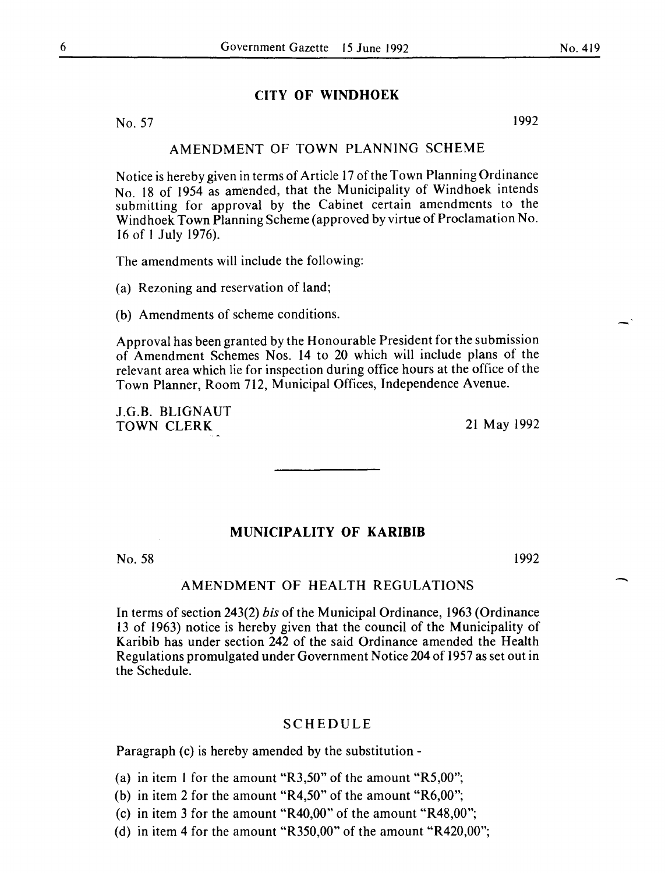#### **CITY OF WINDHOEK**

No. 57 1992

#### AMENDMENT OF TOWN PLANNING SCHEME

Notice is hereby given in terms of Article 17 of the Town Planning Ordinance No. 18 of 1954 as amended, that the Municipality of Windhoek intends submitting for approval by the Cabinet certain amendments to the Windhoek Town Planning Scheme (approved by virtue of Proclamation No. 16 of I July 1976).

The amendments will include the following:

(a) Rezoning and reservation of land;

(b) Amendments of scheme conditions.

Approval has been granted by the Honourable President for the submission of Amendment Schemes Nos. 14 to 20 which will include plans of the relevant area which lie for inspection during office hours at the office of the Town Planner, Room 712, Municipal Offices, Independence Avenue.

J.G.B. BLIGNAUT TOWN CLERK 21 May 1992

#### **MUNICIPALITY OF KARIBIB**

No. 58 1992

-

#### AMENDMENT OF HEALTH REGULATIONS

In terms of section 243(2) *bis* of the Municipal Ordinance, 1963 (Ordinance 13 of 1963) notice is hereby given that the council of the Municipality of Karibib has under section 242 of the said Ordinance amended the Health Regulations promulgated under Government Notice 204 of 1957 as set out in the Schedule.

#### SCHEDULE

Paragraph (c) is hereby amended by the substitution-

(a) in item I for the amount "R3,50" of the amount "R5,00";

(b) in item 2 for the amount "R4,50" of the amount "R6,00";

(c) in item 3 for the amount "R40,00" of the amount "R48,00";

(d) in item 4 for the amount "R350,00" of the amount "R420,00";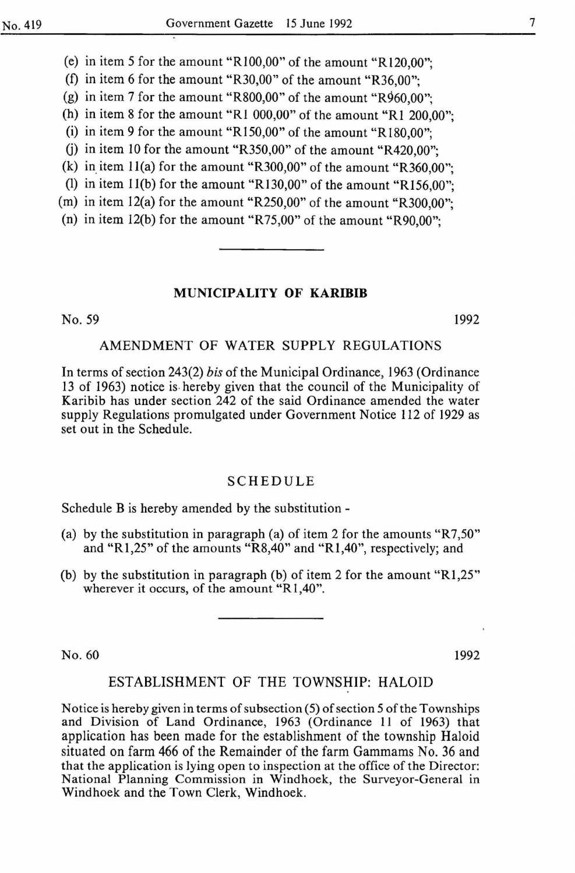(e) in item 5 for the amount "R100,00" of the amount "Rl20,00";

(f) in item 6 for the amount "R30,00" of the amount "R36,00";

(g) in item 7 for the amount "R800,00" of the amount "R960,00";

(h) in item 8 for the amount "R1 000,00" of the amount "R1 200,00";

(i) in item 9 for the amount "R150,00" of the amount "R180,00";

(j) in item 10 for the amount "R350,00" of the amount "R420,00";

(k) in item  $11(a)$  for the amount "R300,00" of the amount "R360,00";

(1) in item 1l(b) for the amount "R130,00" of the amount "R156,00";

(m) in item l2(a) for the amount "R250,00" of the amount "R300,00";

(n) in item 12(b) for the amount "R75,00" of the amount "R90,00";

#### MUNICIPALITY OF **KARIBIB**

No. 59

1992

#### AMENDMENT OF WATER SUPPLY REGULATIONS

In terms of section 243(2) *his* of the Municipal Ordinance, 1963 (Ordinance 13 of 1963) notice is. hereby given that the council of the Municipality of Karibib has under section 242 of the said Ordinance amended the water supply Regulations promulgated under Government Notice 112 of 1929 as set out in the Schedule.

#### SCHEDULE

Schedule B is hereby amended by the substitution-

- (a) by the substitution in paragraph (a) of item 2 for the amounts "R7,50" and "R1,25" of the amounts "R8,40" and "R1,40", respectively; and
- (b) by the substitution in paragraph (b) of item 2 for the amount " $R1,25$ " wherever it occurs, of the amount "R1,40".

No. 60 1992

#### ESTABLISHMENT OF THE TOWNSHIP: HALOID

Notice is hereby given in terms of subsection (5) of section 5 of the Townships and Division of Land Ordinance, 1963 (Ordinance 11 of 1963) that application has been made for the establishment of the township Haloid situated on farm 466 of the Remainder of the farm Gammams No. 36 and that the application is lying open to inspection at the office of the Director: National Planning Commission in Windhoek, the Surveyor-General in Windhoek and the Town Clerk, Windhoek.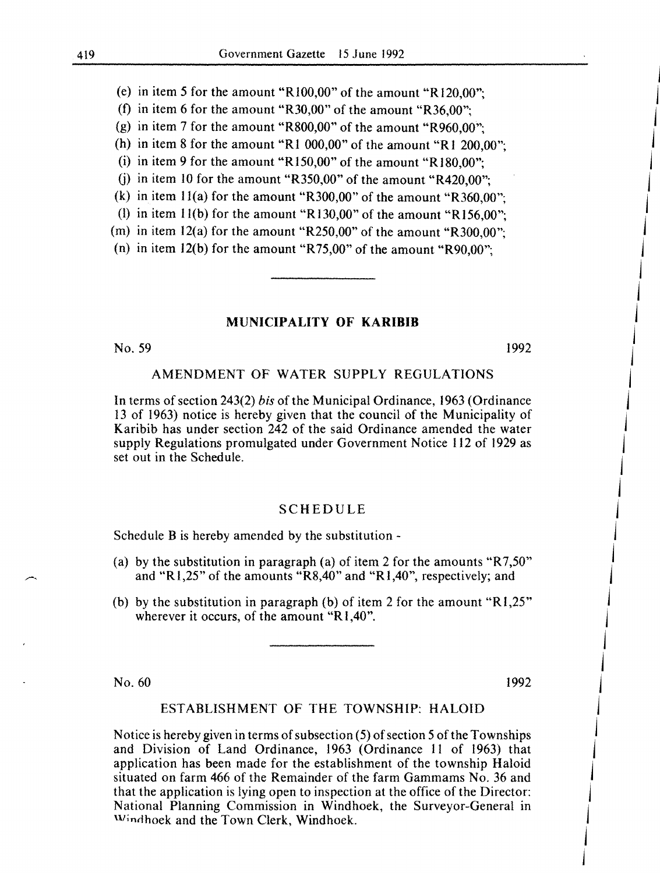(e) in item *5* for the amount "RIOO,OO" of the amount ''Rl20,00";

(f) in item 6 for the amount "R30,00" of the amount "R36,00";

(g) in item 7 for the amount "R800,00" of the amount "R960,00";

(h) in item 8 for the amount "R1 000,00" of the amount "R1 200,00";

(i) in item 9 for the amount "R150,00" of the amount "R180,00":

(j) in item 10 for the amount "R350,00" of the amount "R420,00";

(k) in item 11(a) for the amount "R300,00" of the amount "R360,00";

(1) in item  $11(b)$  for the amount "R130,00" of the amount "R156,00";

(m) in item  $12(a)$  for the amount "R250,00" of the amount "R300,00";

(n) in item l2(b) for the amount "R75,00" of the amount "R90,00";

#### MUNICIPALITY OF KARIBIB

No. 59

1992

#### AMENDMENT OF WATER SUPPLY REGULATIONS

In terms of section 243(2) *bis* of the Municipal Ordinance, 1963 (Ordinance 13 of 1963) notice is hereby given that the council of the Municipality of Karibib has under section 242 of the said Ordinance amended the water supply Regulations promulgated under Government Notice 112 of 1929 as set out in the Schedule.

#### SCHEDULE

Schedule B is hereby amended by the substitution -

- (a) by the substitution in paragraph (a) of item 2 for the amounts "R7,50" and "Rl,25" of the amounts "R8,40" and "Rl,40", respectively; and
- (b) by the substitution in paragraph (b) of item 2 for the amount " $R1,25$ " wherever it occurs, of the amount "R1,40".

No. 60 1992

 $\mathbf{I}$ 

 $\overline{ }$ 

j j j

j  $\mathbf{I}$ 

 $\overline{1}$  $\overline{ }$  $\overline{ }$ 

 $\mathbf{I}$  $\overline{ }$ 

j

j  $\overline{ }$  $\overline{ }$ 

 $\mathbf{I}$ 

#### ESTABLISHMENT OF THE TOWNSHIP: HALOID

Notice is hereby given in terms of subsection (5) of section 5 of the Townships and Division of Land Ordinance, 1963 (Ordinance II of 1963) that application has been made for the establishment of the township Haloid situated on farm 466 of the Remainder of the farm Gammams No. 36 and that the application is lying open to inspection at the office of the Director: National Planning Commission in Windhoek, the Surveyor-General in Windhoek and the Town Clerk, Windhoek.